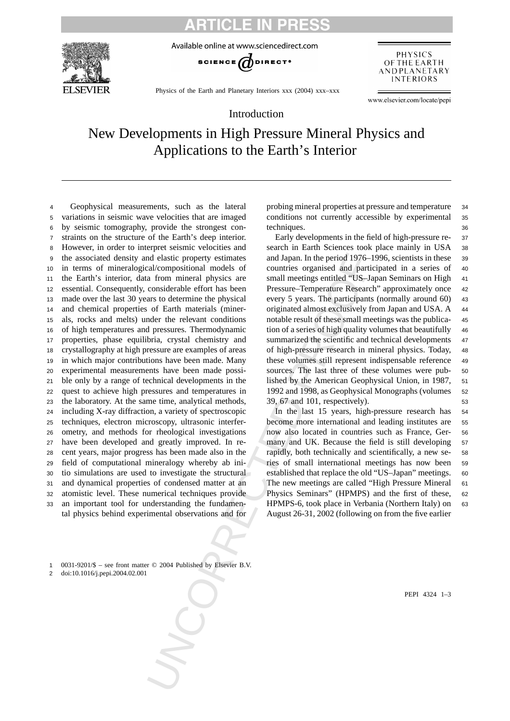### **ICLE IN P**

Available online at www.sciencedirect.com



SCIENCE  $\bigodot$  DIRECT<sup>o</sup>

PHYSICS OF THE EARTH ANDPLANETARY **INTERIORS** 

Physics of the Earth and Planetary Interiors xxx (2004) xxx–xxx

www.elsevier.com/locate/pepi

#### Introduction

## New Developments in High Pressure Mineral Physics and Applications to the Earth's Interior

and elastic property estimates<br>
and Japan. In the period 1976-1<br>
cal compositional models of<br>
countries organised and particular<br>
can form initiaral physics are<br>
small meetings entitled "US-J-<br>
considerable effort has been Geophysical measurements, such as the lateral variations in seismic wave velocities that are imaged by seismic tomography, provide the strongest con- straints on the structure of the Earth's deep interior. However, in order to interpret seismic velocities and the associated density and elastic property estimates in terms of mineralogical/compositional models of the Earth's interior, data from mineral physics are essential. Consequently, considerable effort has been made over the last 30 years to determine the physical and chemical properties of Earth materials (miner- als, rocks and melts) under the relevant conditions of high temperatures and pressures. Thermodynamic properties, phase equilibria, crystal chemistry and crystallography at high pressure are examples of areas in which major contributions have been made. Many experimental measurements have been made possi- ble only by a range of technical developments in the quest to achieve high pressures and temperatures in the laboratory. At the same time, analytical methods, including X-ray diffraction, a variety of spectroscopic techniques, electron microscopy, ultrasonic interfer- ometry, and methods for rheological investigations have been developed and greatly improved. In re- cent years, major progress has been made also in the field of computational mineralogy whereby ab ini- tio simulations are used to investigate the structural and dynamical properties of condensed matter at an atomistic level. These numerical techniques provide an important tool for understanding the fundamental physics behind experimental observations and for

probing mineral properties at pressure and temperature <sup>34</sup> conditions not currently accessible by experimental <sup>35</sup> techniques. 36

Early developments in the field of high-pressure re- <sup>37</sup> search in Earth Sciences took place mainly in USA <sup>38</sup> and Japan. In the period 1976–1996, scientists in these <sup>39</sup> countries organised and participated in a series of <sup>40</sup> small meetings entitled "US-Japan Seminars on High 41 Pressure–Temperature Research" approximately once <sup>42</sup> every 5 years. The participants (normally around 60) 43 originated almost exclusively from Japan and USA. A 44 notable result of these small meetings was the publica- <sup>45</sup> tion of a series of high quality volumes that beautifully <sup>46</sup> summarized the scientific and technical developments 47 of high-pressure research in mineral physics. Today, <sup>48</sup> these volumes still represent indispensable reference <sup>49</sup> sources. The last three of these volumes were pub- <sup>50</sup> lished by the American Geophysical Union, in 1987, <sup>51</sup> 1992 and 1998, as Geophysical Monographs (volumes <sup>52</sup> 39, 67 and 101, respectively). <sup>53</sup>

In the last 15 years, high-pressure research has <sup>54</sup> become more international and leading institutes are 55 now also located in countries such as France, Ger- <sup>56</sup> many and UK. Because the field is still developing 57 rapidly, both technically and scientifically, a new se- <sup>58</sup> ries of small international meetings has now been <sup>59</sup> established that replace the old "US-Japan" meetings. 60 The new meetings are called "High Pressure Mineral 61 Physics Seminars" (HPMPS) and the first of these, <sup>62</sup> HPMPS-6, took place in Verbania (Northern Italy) on 63 August 26-31, 2002 (following on from the five earlier

1 0031-9201/\$ – see front matter © 2004 Published by Elsevier B.V.

2 doi:10.1016/j.pepi.2004.02.001

PEPI 4324 1–3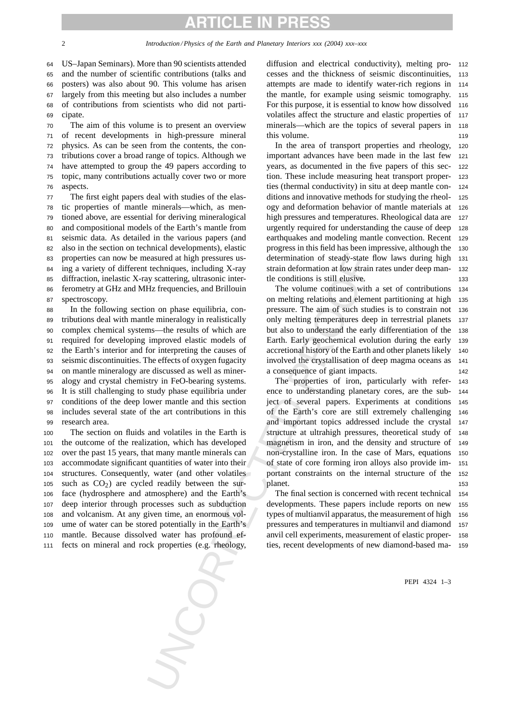# RTICLE IN PRE!

 US–Japan Seminars). More than 90 scientists attended and the number of scientific contributions (talks and posters) was also about 90. This volume has arisen largely from this meeting but also includes a number of contributions from scientists who did not parti-<sup>69</sup> cipate.

 The aim of this volume is to present an overview of recent developments in high-pressure mineral physics. As can be seen from the contents, the con- tributions cover a broad range of topics. Although we have attempted to group the 49 papers according to topic, many contributions actually cover two or more <sup>76</sup> aspects.

 The first eight papers deal with studies of the elas- tic properties of mantle minerals—which, as men- tioned above, are essential for deriving mineralogical and compositional models of the Earth's mantle from seismic data. As detailed in the various papers (and also in the section on technical developments), elastic properties can now be measured at high pressures us- ing a variety of different techniques, including X-ray diffraction, inelastic X-ray scattering, ultrasonic inter- ferometry at GHz and MHz frequencies, and Brillouin spectroscopy.

e technique, including X-ray care (and the technique since the strained at the strained since the conditions is still clustered by scattering, ultrasonic inter-<br>the conditions is still clustered by scattering, ultrasonic i In the following section on phase equilibria, con- tributions deal with mantle mineralogy in realistically complex chemical systems—the results of which are required for developing improved elastic models of the Earth's interior and for interpreting the causes of seismic discontinuities. The effects of oxygen fugacity on mantle mineralogy are discussed as well as miner- alogy and crystal chemistry in FeO-bearing systems. It is still challenging to study phase equilibria under conditions of the deep lower mantle and this section includes several state of the art contributions in this research area.

 The section on fluids and volatiles in the Earth is the outcome of the realization, which has developed over the past 15 years, that many mantle minerals can accommodate significant quantities of water into their structures. Consequently, water (and other volatiles 105 such as  $CO<sub>2</sub>$ ) are cycled readily between the sur- face (hydrosphere and atmosphere) and the Earth's deep interior through processes such as subduction and volcanism. At any given time, an enormous vol- ume of water can be stored potentially in the Earth's mantle. Because dissolved water has profound ef-fects on mineral and rock properties (e.g. rheology,

diffusion and electrical conductivity), melting pro- <sup>112</sup> cesses and the thickness of seismic discontinuities, <sup>113</sup> attempts are made to identify water-rich regions in <sup>114</sup> the mantle, for example using seismic tomography. <sup>115</sup> For this purpose, it is essential to know how dissolved 116 volatiles affect the structure and elastic properties of 117 minerals—which are the topics of several papers in <sup>118</sup> this volume.

In the area of transport properties and rheology, <sup>120</sup> important advances have been made in the last few <sup>121</sup> years, as documented in the five papers of this sec- <sup>122</sup> tion. These include measuring heat transport proper- <sup>123</sup> ties (thermal conductivity) in situ at deep mantle con- <sup>124</sup> ditions and innovative methods for studying the rheol- <sup>125</sup> ogy and deformation behavior of mantle materials at <sup>126</sup> high pressures and temperatures. Rheological data are 127 urgently required for understanding the cause of deep <sup>128</sup> earthquakes and modeling mantle convection. Recent <sup>129</sup> progress in this field has been impressive, although the <sup>130</sup> determination of steady-state flow laws during high <sup>131</sup> strain deformation at low strain rates under deep man- <sup>132</sup> tle conditions is still elusive. 133

The volume continues with a set of contributions <sup>134</sup> on melting relations and element partitioning at high <sup>135</sup> pressure. The aim of such studies is to constrain not <sup>136</sup> only melting temperatures deep in terrestrial planets <sup>137</sup> but also to understand the early differentiation of the <sup>138</sup> Earth. Early geochemical evolution during the early <sup>139</sup> accretional history of the Earth and other planets likely <sup>140</sup> involved the crystallisation of deep magma oceans as <sup>141</sup> a consequence of giant impacts. 142

The properties of iron, particularly with refer- <sup>143</sup> ence to understanding planetary cores, are the sub- <sup>144</sup> ject of several papers. Experiments at conditions <sup>145</sup> of the Earth's core are still extremely challenging <sup>146</sup> and important topics addressed include the crystal <sup>147</sup> structure at ultrahigh pressures, theoretical study of <sup>148</sup> magnetism in iron, and the density and structure of <sup>149</sup> non-crystalline iron. In the case of Mars, equations <sup>150</sup> of state of core forming iron alloys also provide im- <sup>151</sup> portant constraints on the internal structure of the <sup>152</sup> planet. 153

The final section is concerned with recent technical 154 developments. These papers include reports on new <sup>155</sup> types of multianvil apparatus, the measurement of high <sup>156</sup> pressures and temperatures in multianvil and diamond <sup>157</sup> anvil cell experiments, measurement of elastic proper- <sup>158</sup> ties, recent developments of new diamond-based ma- <sup>159</sup>

PEPI 4324 1–3